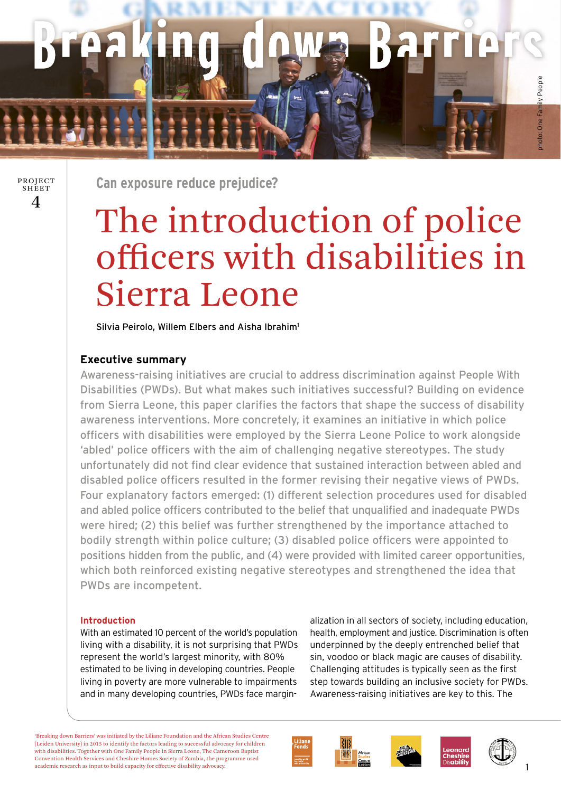# shoto: One Family People photo: One Family People

 $\boldsymbol{\varDelta}$ PROJECT **SHEET** 

**Can exposure reduce prejudice?** 

# The introduction of police offi cers with disabilities in Sierra Leone

Silvia Peirolo, Willem Elbers and Aisha Ibrahim<sup>1</sup>

## **Executive summary**

Awareness-raising initiatives are crucial to address discrimination against People With Disabilities (PWDs). But what makes such initiatives successful? Building on evidence from Sierra Leone, this paper clarifies the factors that shape the success of disability awareness interventions. More concretely, it examines an initiative in which police officers with disabilities were employed by the Sierra Leone Police to work alongside 'abled' police officers with the aim of challenging negative stereotypes. The study unfortunately did not find clear evidence that sustained interaction between abled and disabled police officers resulted in the former revising their negative views of PWDs. Four explanatory factors emerged: (1) different selection procedures used for disabled and abled police officers contributed to the belief that unqualified and inadequate PWDs were hired; (2) this belief was further strengthened by the importance attached to bodily strength within police culture; (3) disabled police officers were appointed to positions hidden from the public, and (4) were provided with limited career opportunities, which both reinforced existing negative stereotypes and strengthened the idea that PWDs are incompetent.

### **Introduction**

With an estimated 10 percent of the world's population living with a disability, it is not surprising that PWDs represent the world's largest minority, with 80% estimated to be living in developing countries. People living in poverty are more vulnerable to impairments and in many developing countries, PWDs face marginalization in all sectors of society, including education, health, employment and justice. Discrimination is often underpinned by the deeply entrenched belief that sin, voodoo or black magic are causes of disability. Challenging attitudes is typically seen as the first step towards building an inclusive society for PWDs. Awareness-raising initiatives are key to this. The

'Breaking down Barriers' was initiated by the Liliane Foundation and the African Studies Centre (Leiden University) in 2015 to identify the factors leading to successful advocacy for children with disabilities. Together with One Family People in Sierra Leone, The Cameroon Baptist Convention Health Services and Cheshire Homes Society of Zambia, the programme used academic research as input to build capacity for effective disability advocacy.





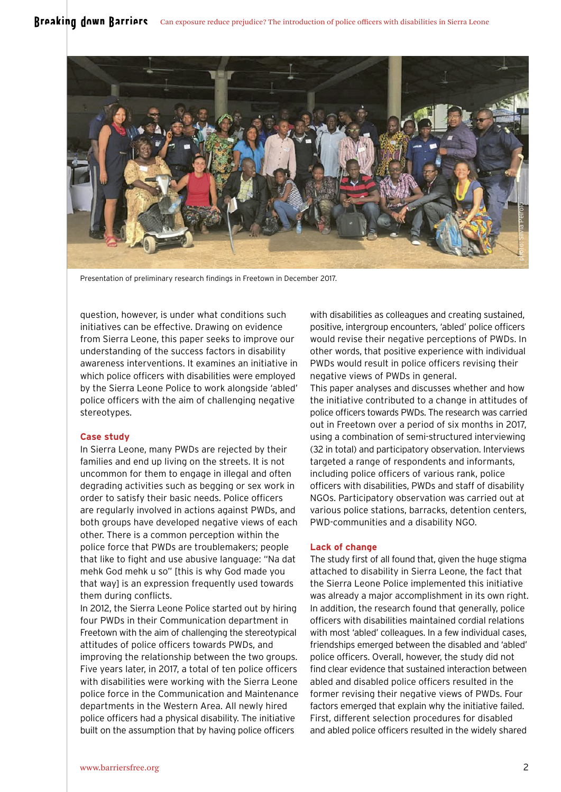

Presentation of preliminary research findings in Freetown in December 2017.

question, however, is under what conditions such initiatives can be effective. Drawing on evidence from Sierra Leone, this paper seeks to improve our understanding of the success factors in disability awareness interventions. It examines an initiative in which police officers with disabilities were employed by the Sierra Leone Police to work alongside 'abled' police officers with the aim of challenging negative stereotypes.

#### **Case study**

In Sierra Leone, many PWDs are rejected by their families and end up living on the streets. It is not uncommon for them to engage in illegal and often degrading activities such as begging or sex work in order to satisfy their basic needs. Police officers are regularly involved in actions against PWDs, and both groups have developed negative views of each other. There is a common perception within the police force that PWDs are troublemakers; people that like to fight and use abusive language: "Na dat mehk God mehk u so" [this is why God made you that way] is an expression frequently used towards them during conflicts.

In 2012, the Sierra Leone Police started out by hiring four PWDs in their Communication department in Freetown with the aim of challenging the stereotypical attitudes of police officers towards PWDs, and improving the relationship between the two groups. Five years later, in 2017, a total of ten police officers with disabilities were working with the Sierra Leone police force in the Communication and Maintenance departments in the Western Area. All newly hired police officers had a physical disability. The initiative built on the assumption that by having police officers

with disabilities as colleagues and creating sustained, positive, intergroup encounters, 'abled' police officers would revise their negative perceptions of PWDs. In other words, that positive experience with individual PWDs would result in police officers revising their negative views of PWDs in general.

This paper analyses and discusses whether and how the initiative contributed to a change in attitudes of police officers towards PWDs. The research was carried out in Freetown over a period of six months in 2017, using a combination of semi-structured interviewing (32 in total) and participatory observation. Interviews targeted a range of respondents and informants, including police officers of various rank, police officers with disabilities, PWDs and staff of disability NGOs. Participatory observation was carried out at various police stations, barracks, detention centers, PWD-communities and a disability NGO.

#### **Lack of change**

The study first of all found that, given the huge stigma attached to disability in Sierra Leone, the fact that the Sierra Leone Police implemented this initiative was already a major accomplishment in its own right. In addition, the research found that generally, police officers with disabilities maintained cordial relations with most 'abled' colleagues. In a few individual cases, friendships emerged between the disabled and 'abled' police officers. Overall, however, the study did not find clear evidence that sustained interaction between abled and disabled police officers resulted in the former revising their negative views of PWDs. Four factors emerged that explain why the initiative failed. First, different selection procedures for disabled and abled police officers resulted in the widely shared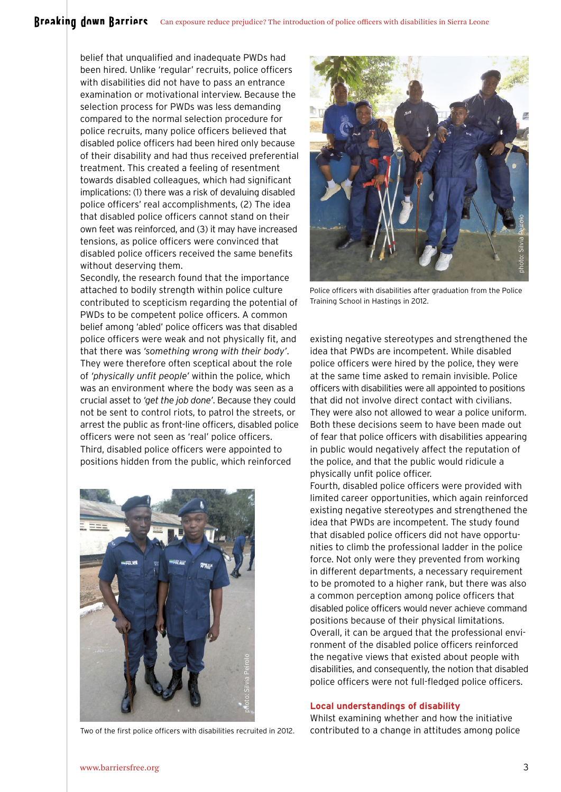# Breaking down Barriers Can exposure reduce prejudice? The introduction of police officers with disabilities in Sierra Leone

belief that unqualified and inadequate PWDs had been hired. Unlike 'regular' recruits, police officers with disabilities did not have to pass an entrance examination or motivational interview. Because the selection process for PWDs was less demanding compared to the normal selection procedure for police recruits, many police officers believed that disabled police officers had been hired only because of their disability and had thus received preferential treatment. This created a feeling of resentment towards disabled colleagues, which had significant implications: (1) there was a risk of devaluing disabled police officers' real accomplishments, (2) The idea that disabled police officers cannot stand on their own feet was reinforced, and (3) it may have increased tensions, as police officers were convinced that disabled police officers received the same benefits without deserving them.

Secondly, the research found that the importance attached to bodily strength within police culture contributed to scepticism regarding the potential of PWDs to be competent police officers. A common belief among 'abled' police officers was that disabled police officers were weak and not physically fit, and that there was *'something wrong with their body'*. They were therefore often sceptical about the role of *'physically unfit people'* within the police, which was an environment where the body was seen as a crucial asset to *'get the job done'*. Because they could not be sent to control riots, to patrol the streets, or arrest the public as front-line officers, disabled police officers were not seen as 'real' police officers. Third, disabled police officers were appointed to positions hidden from the public, which reinforced



Two of the first police officers with disabilities recruited in 2012.



Police officers with disabilities after graduation from the Police Training School in Hastings in 2012.

existing negative stereotypes and strengthened the idea that PWDs are incompetent. While disabled police officers were hired by the police, they were at the same time asked to remain invisible. Police officers with disabilities were all appointed to positions that did not involve direct contact with civilians. They were also not allowed to wear a police uniform. Both these decisions seem to have been made out of fear that police officers with disabilities appearing in public would negatively affect the reputation of the police, and that the public would ridicule a physically unfit police officer.

Fourth, disabled police officers were provided with limited career opportunities, which again reinforced existing negative stereotypes and strengthened the idea that PWDs are incompetent. The study found that disabled police officers did not have opportunities to climb the professional ladder in the police force. Not only were they prevented from working in different departments, a necessary requirement to be promoted to a higher rank, but there was also a common perception among police officers that disabled police officers would never achieve command positions because of their physical limitations. Overall, it can be argued that the professional environment of the disabled police officers reinforced the negative views that existed about people with disabilities, and consequently, the notion that disabled police officers were not full-fledged police officers.

#### **Local understandings of disability**

Whilst examining whether and how the initiative contributed to a change in attitudes among police